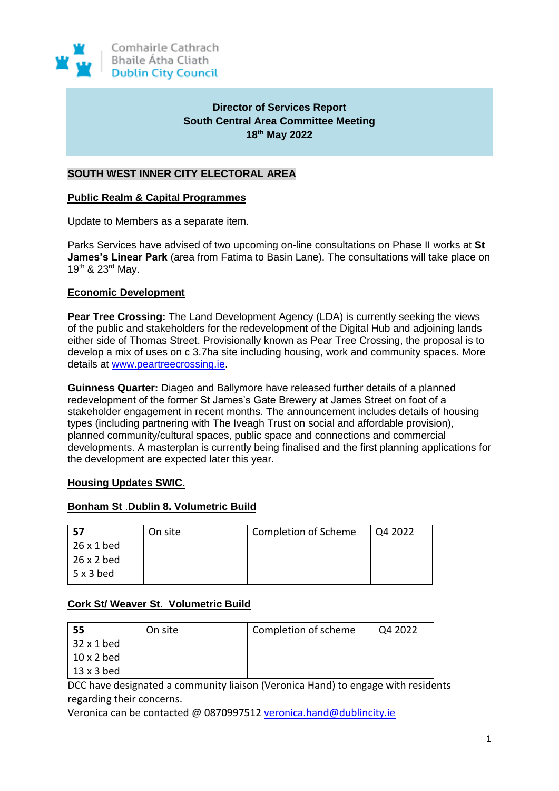

# **Director of Services Report South Central Area Committee Meeting 18th May 2022**

## **SOUTH WEST INNER CITY ELECTORAL AREA**

### **Public Realm & Capital Programmes**

Update to Members as a separate item.

Parks Services have advised of two upcoming on-line consultations on Phase II works at **St James's Linear Park** (area from Fatima to Basin Lane). The consultations will take place on 19th & 23rd May.

## **Economic Development**

**Pear Tree Crossing:** The Land Development Agency (LDA) is currently seeking the views of the public and stakeholders for the redevelopment of the Digital Hub and adjoining lands either side of Thomas Street. Provisionally known as Pear Tree Crossing, the proposal is to develop a mix of uses on c 3.7ha site including housing, work and community spaces. More details at [www.peartreecrossing.ie.](http://www.peartreecrossing.ie/)

**Guinness Quarter:** Diageo and Ballymore have released further details of a planned redevelopment of the former St James's Gate Brewery at James Street on foot of a stakeholder engagement in recent months. The announcement includes details of housing types (including partnering with The Iveagh Trust on social and affordable provision), planned community/cultural spaces, public space and connections and commercial developments. A masterplan is currently being finalised and the first planning applications for the development are expected later this year.

## **Housing Updates SWIC.**

## **Bonham St** .**Dublin 8. Volumetric Build**

| -57               | On site | Completion of Scheme | l O4 2022 |
|-------------------|---------|----------------------|-----------|
| 26 x 1 bed        |         |                      |           |
| $26 \times 2$ bed |         |                      |           |
| $5 \times 3$ bed  |         |                      |           |

## **Cork St/ Weaver St. Volumetric Build**

| 55                | On site | Completion of scheme | Q4 2022 |
|-------------------|---------|----------------------|---------|
| 32 x 1 bed        |         |                      |         |
| $10 \times 2$ bed |         |                      |         |
| $13 \times 3$ bed |         |                      |         |

DCC have designated a community liaison (Veronica Hand) to engage with residents regarding their concerns.

Veronica can be contacted @ 0870997512 [veronica.hand@dublincity.ie](mailto:veronica.hand@dublincity.ie)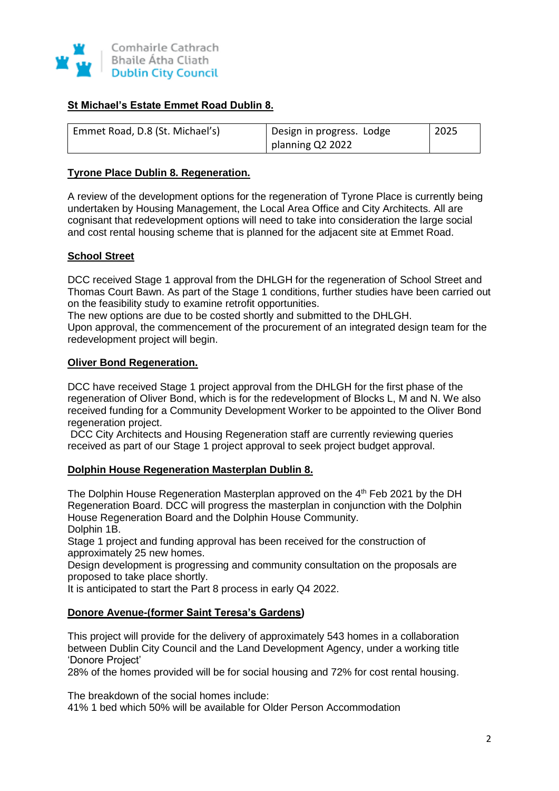

## **St Michael's Estate Emmet Road Dublin 8.**

| Emmet Road, D.8 (St. Michael's) | Design in progress. Lodge | 2025 |
|---------------------------------|---------------------------|------|
|                                 | planning Q2 2022          |      |

### **Tyrone Place Dublin 8. Regeneration.**

A review of the development options for the regeneration of Tyrone Place is currently being undertaken by Housing Management, the Local Area Office and City Architects. All are cognisant that redevelopment options will need to take into consideration the large social and cost rental housing scheme that is planned for the adjacent site at Emmet Road.

## **School Street**

DCC received Stage 1 approval from the DHLGH for the regeneration of School Street and Thomas Court Bawn. As part of the Stage 1 conditions, further studies have been carried out on the feasibility study to examine retrofit opportunities.

The new options are due to be costed shortly and submitted to the DHLGH.

Upon approval, the commencement of the procurement of an integrated design team for the redevelopment project will begin.

#### **Oliver Bond Regeneration.**

DCC have received Stage 1 project approval from the DHLGH for the first phase of the regeneration of Oliver Bond, which is for the redevelopment of Blocks L, M and N. We also received funding for a Community Development Worker to be appointed to the Oliver Bond regeneration project.

DCC City Architects and Housing Regeneration staff are currently reviewing queries received as part of our Stage 1 project approval to seek project budget approval.

#### **Dolphin House Regeneration Masterplan Dublin 8.**

The Dolphin House Regeneration Masterplan approved on the 4<sup>th</sup> Feb 2021 by the DH Regeneration Board. DCC will progress the masterplan in conjunction with the Dolphin House Regeneration Board and the Dolphin House Community. Dolphin 1B.

Stage 1 project and funding approval has been received for the construction of approximately 25 new homes.

Design development is progressing and community consultation on the proposals are proposed to take place shortly.

It is anticipated to start the Part 8 process in early Q4 2022.

## **Donore Avenue-(former Saint Teresa's Gardens)**

This project will provide for the delivery of approximately 543 homes in a collaboration between Dublin City Council and the Land Development Agency, under a working title 'Donore Project'

28% of the homes provided will be for social housing and 72% for cost rental housing.

The breakdown of the social homes include:

41% 1 bed which 50% will be available for Older Person Accommodation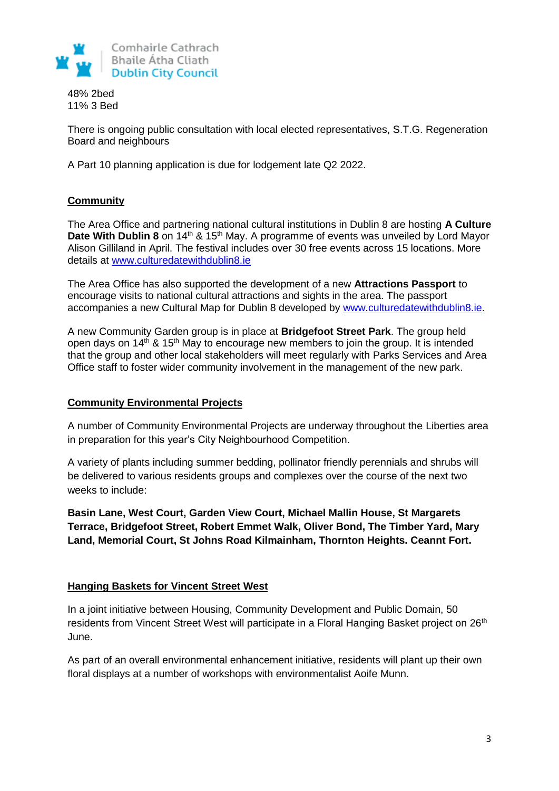

48% 2bed 11% 3 Bed

There is ongoing public consultation with local elected representatives, S.T.G. Regeneration Board and neighbours

A Part 10 planning application is due for lodgement late Q2 2022.

## **Community**

The Area Office and partnering national cultural institutions in Dublin 8 are hosting **A Culture Date With Dublin 8** on 14<sup>th</sup> & 15<sup>th</sup> May. A programme of events was unveiled by Lord Mayor Alison Gilliland in April. The festival includes over 30 free events across 15 locations. More details at [www.culturedatewithdublin8.ie](http://www.culturedatewithdublin8.ie/)

The Area Office has also supported the development of a new **Attractions Passport** to encourage visits to national cultural attractions and sights in the area. The passport accompanies a new Cultural Map for Dublin 8 developed by [www.culturedatewithdublin8.ie.](http://www.culturedatewithdublin8.ie/)

A new Community Garden group is in place at **Bridgefoot Street Park**. The group held open days on  $14<sup>th</sup>$  &  $15<sup>th</sup>$  May to encourage new members to join the group. It is intended that the group and other local stakeholders will meet regularly with Parks Services and Area Office staff to foster wider community involvement in the management of the new park.

## **Community Environmental Projects**

A number of Community Environmental Projects are underway throughout the Liberties area in preparation for this year's City Neighbourhood Competition.

A variety of plants including summer bedding, pollinator friendly perennials and shrubs will be delivered to various residents groups and complexes over the course of the next two weeks to include:

**Basin Lane, West Court, Garden View Court, Michael Mallin House, St Margarets Terrace, Bridgefoot Street, Robert Emmet Walk, Oliver Bond, The Timber Yard, Mary Land, Memorial Court, St Johns Road Kilmainham, Thornton Heights. Ceannt Fort.**

## **Hanging Baskets for Vincent Street West**

In a joint initiative between Housing, Community Development and Public Domain, 50 residents from Vincent Street West will participate in a Floral Hanging Basket project on 26<sup>th</sup> June.

As part of an overall environmental enhancement initiative, residents will plant up their own floral displays at a number of workshops with environmentalist Aoife Munn.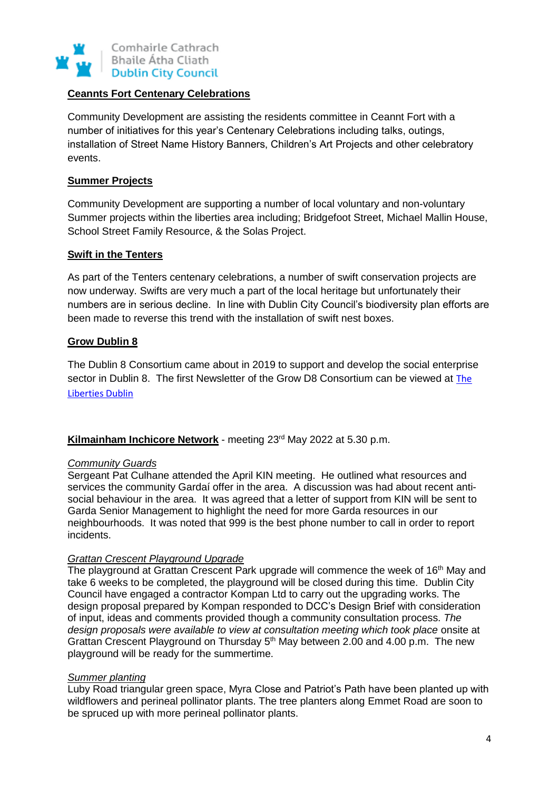

## **Ceannts Fort Centenary Celebrations**

Community Development are assisting the residents committee in Ceannt Fort with a number of initiatives for this year's Centenary Celebrations including talks, outings, installation of Street Name History Banners, Children's Art Projects and other celebratory events.

### **Summer Projects**

Community Development are supporting a number of local voluntary and non-voluntary Summer projects within the liberties area including; Bridgefoot Street, Michael Mallin House, School Street Family Resource, & the Solas Project.

#### **Swift in the Tenters**

As part of the Tenters centenary celebrations, a number of swift conservation projects are now underway. Swifts are very much a part of the local heritage but unfortunately their numbers are in serious decline. In line with Dublin City Council's biodiversity plan efforts are been made to reverse this trend with the installation of swift nest boxes.

### **Grow Dublin 8**

The Dublin 8 Consortium came about in 2019 to support and develop the social enterprise sector in Dublin 8. The first Newsletter of the Grow D8 Consortium can be viewed at [The](https://libertiesdublin.ie/)  [Liberties Dublin](https://libertiesdublin.ie/)

#### **Kilmainham Inchicore Network** - meeting 23<sup>rd</sup> May 2022 at 5.30 p.m.

#### *Community Guards*

Sergeant Pat Culhane attended the April KIN meeting. He outlined what resources and services the community Gardaí offer in the area. A discussion was had about recent antisocial behaviour in the area. It was agreed that a letter of support from KIN will be sent to Garda Senior Management to highlight the need for more Garda resources in our neighbourhoods. It was noted that 999 is the best phone number to call in order to report incidents.

#### *Grattan Crescent Playground Upgrade*

The playground at Grattan Crescent Park upgrade will commence the week of 16<sup>th</sup> May and take 6 weeks to be completed, the playground will be closed during this time. Dublin City Council have engaged a contractor Kompan Ltd to carry out the upgrading works. The design proposal prepared by Kompan responded to DCC's Design Brief with consideration of input, ideas and comments provided though a community consultation process. *The design proposals were available to view at consultation meeting which took place* onsite at Grattan Crescent Playground on Thursday 5<sup>th</sup> May between 2.00 and 4.00 p.m. The new playground will be ready for the summertime.

#### *Summer planting*

Luby Road triangular green space, Myra Close and Patriot's Path have been planted up with wildflowers and perineal pollinator plants. The tree planters along Emmet Road are soon to be spruced up with more perineal pollinator plants.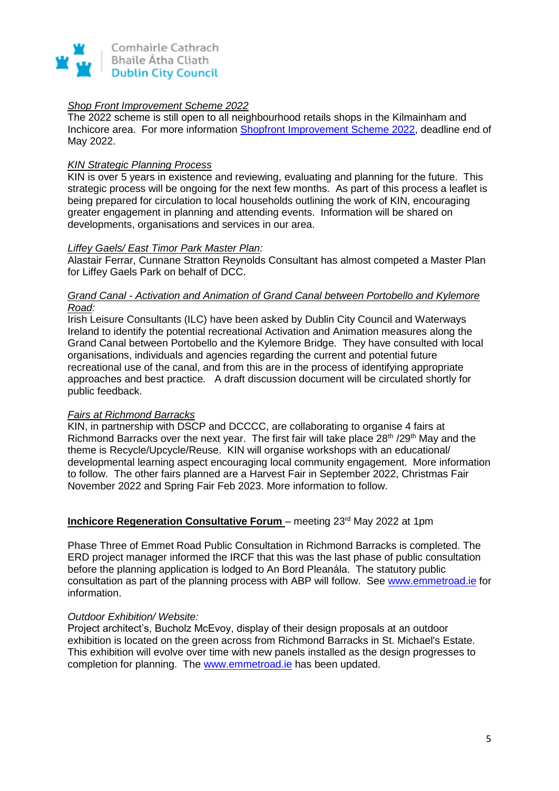

### *Shop Front Improvement Scheme 2022*

The 2022 scheme is still open to all neighbourhood retails shops in the Kilmainham and Inchicore area. For more information [Shopfront Improvement Scheme 2022,](https://libertiesdublin.ie/shopfront-improvement-scheme-2022/) deadline end of May 2022.

### *KIN Strategic Planning Process*

KIN is over 5 years in existence and reviewing, evaluating and planning for the future. This strategic process will be ongoing for the next few months. As part of this process a leaflet is being prepared for circulation to local households outlining the work of KIN, encouraging greater engagement in planning and attending events. Information will be shared on developments, organisations and services in our area.

### *Liffey Gaels/ East Timor Park Master Plan:*

Alastair Ferrar, Cunnane Stratton Reynolds Consultant has almost competed a Master Plan for Liffey Gaels Park on behalf of DCC.

### *Grand Canal - Activation and Animation of Grand Canal between Portobello and Kylemore Road:*

Irish Leisure Consultants (ILC) have been asked by Dublin City Council and Waterways Ireland to identify the potential recreational Activation and Animation measures along the Grand Canal between Portobello and the Kylemore Bridge. They have consulted with local organisations, individuals and agencies regarding the current and potential future recreational use of the canal, and from this are in the process of identifying appropriate approaches and best practice*.* A draft discussion document will be circulated shortly for public feedback.

#### *Fairs at Richmond Barracks*

KIN, in partnership with DSCP and DCCCC, are collaborating to organise 4 fairs at Richmond Barracks over the next year. The first fair will take place 28<sup>th</sup> /29<sup>th</sup> May and the theme is Recycle/Upcycle/Reuse. KIN will organise workshops with an educational/ developmental learning aspect encouraging local community engagement. More information to follow. The other fairs planned are a Harvest Fair in September 2022, Christmas Fair November 2022 and Spring Fair Feb 2023. More information to follow.

#### **Inchicore Regeneration Consultative Forum** - meeting 23<sup>rd</sup> May 2022 at 1pm

Phase Three of Emmet Road Public Consultation in Richmond Barracks is completed. The ERD project manager informed the IRCF that this was the last phase of public consultation before the planning application is lodged to An Bord Pleanála. The statutory public consultation as part of the planning process with ABP will follow. See [www.emmetroad.ie](https://scanner.topsec.com/?r=show&t=d8a6620c891812039ea036800bfc0f779dc124d0&u=http%3A%2F%2Fwww.emmetroad.ie&d=1962) for information.

#### *Outdoor Exhibition/ Website:*

Project architect's, Bucholz McEvoy, display of their design proposals at an outdoor exhibition is located on the green across from Richmond Barracks in St. Michael's Estate. This exhibition will evolve over time with new panels installed as the design progresses to completion for planning. The [www.emmetroad.ie](http://www.emmetroad.ie/) has been updated.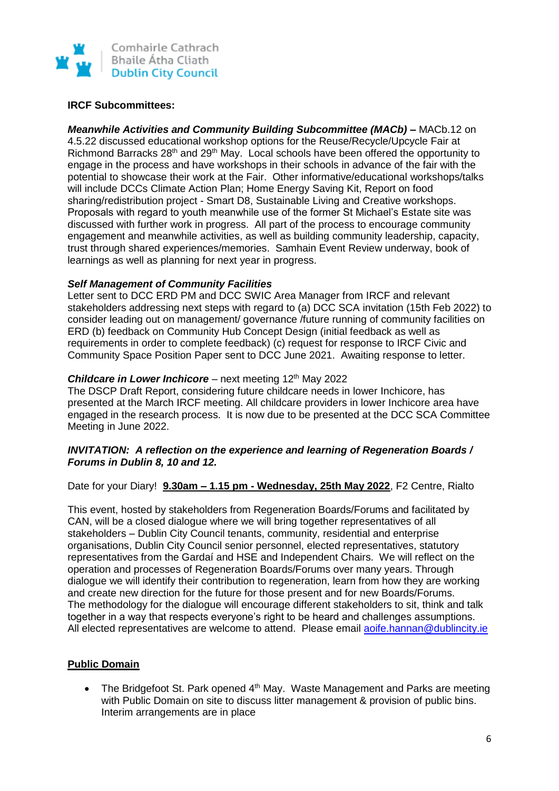

### **IRCF Subcommittees:**

*Meanwhile Activities and Community Building Subcommittee (MACb) –* MACb.12 on 4.5.22 discussed educational workshop options for the Reuse/Recycle/Upcycle Fair at Richmond Barracks 28<sup>th</sup> and 29<sup>th</sup> May. Local schools have been offered the opportunity to engage in the process and have workshops in their schools in advance of the fair with the potential to showcase their work at the Fair. Other informative/educational workshops/talks will include DCCs Climate Action Plan; Home Energy Saving Kit, Report on food sharing/redistribution project - Smart D8, Sustainable Living and Creative workshops. Proposals with regard to youth meanwhile use of the former St Michael's Estate site was discussed with further work in progress. All part of the process to encourage community engagement and meanwhile activities, as well as building community leadership, capacity, trust through shared experiences/memories. Samhain Event Review underway, book of learnings as well as planning for next year in progress.

### *Self Management of Community Facilities*

Letter sent to DCC ERD PM and DCC SWIC Area Manager from IRCF and relevant stakeholders addressing next steps with regard to (a) DCC SCA invitation (15th Feb 2022) to consider leading out on management/ governance /future running of community facilities on ERD (b) feedback on Community Hub Concept Design (initial feedback as well as requirements in order to complete feedback) (c) request for response to IRCF Civic and Community Space Position Paper sent to DCC June 2021. Awaiting response to letter.

## **Childcare in Lower Inchicore** – next meeting 12<sup>th</sup> May 2022

The DSCP Draft Report, considering future childcare needs in lower Inchicore, has presented at the March IRCF meeting. All childcare providers in lower Inchicore area have engaged in the research process. It is now due to be presented at the DCC SCA Committee Meeting in June 2022.

### *INVITATION: A reflection on the experience and learning of Regeneration Boards / Forums in Dublin 8, 10 and 12.*

Date for your Diary! **9.30am – 1.15 pm - Wednesday, 25th May 2022**, F2 Centre, Rialto

This event, hosted by stakeholders from Regeneration Boards/Forums and facilitated by CAN, will be a closed dialogue where we will bring together representatives of all stakeholders – Dublin City Council tenants, community, residential and enterprise organisations, Dublin City Council senior personnel, elected representatives, statutory representatives from the Gardaí and HSE and Independent Chairs. We will reflect on the operation and processes of Regeneration Boards/Forums over many years. Through dialogue we will identify their contribution to regeneration, learn from how they are working and create new direction for the future for those present and for new Boards/Forums. The methodology for the dialogue will encourage different stakeholders to sit, think and talk together in a way that respects everyone's right to be heard and challenges assumptions. All elected representatives are welcome to attend. Please email [aoife.hannan@dublincity.ie](mailto:aoife.hannan@dublincity.ie)

## **Public Domain**

• The Bridgefoot St. Park opened  $4<sup>th</sup>$  May. Waste Management and Parks are meeting with Public Domain on site to discuss litter management & provision of public bins. Interim arrangements are in place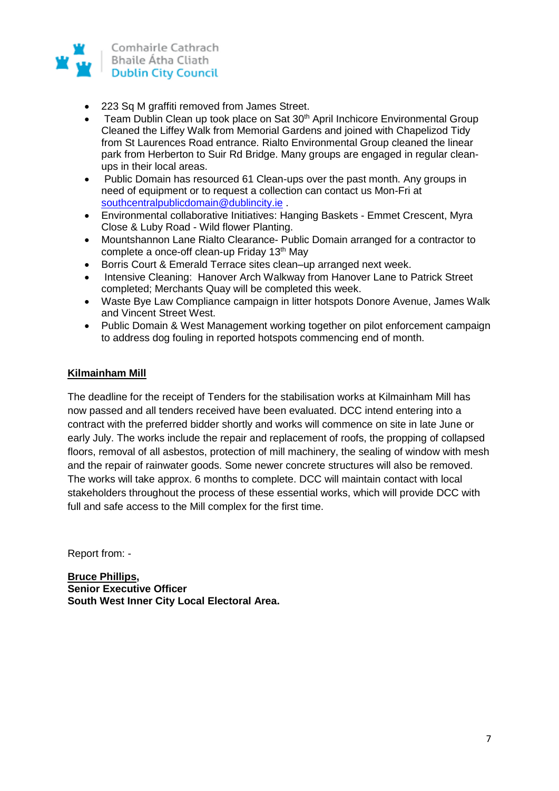

- 223 Sq M graffiti removed from James Street.
- Team Dublin Clean up took place on Sat 30<sup>th</sup> April Inchicore Environmental Group Cleaned the Liffey Walk from Memorial Gardens and joined with Chapelizod Tidy from St Laurences Road entrance. Rialto Environmental Group cleaned the linear park from Herberton to Suir Rd Bridge. Many groups are engaged in regular cleanups in their local areas.
- Public Domain has resourced 61 Clean-ups over the past month. Any groups in need of equipment or to request a collection can contact us Mon-Fri at [southcentralpublicdomain@dublincity.ie](mailto:southcentralpublicdomain@dublincity.ie) .
- Environmental collaborative Initiatives: Hanging Baskets Emmet Crescent, Myra Close & Luby Road - Wild flower Planting.
- Mountshannon Lane Rialto Clearance- Public Domain arranged for a contractor to complete a once-off clean-up Friday 13<sup>th</sup> May
- Borris Court & Emerald Terrace sites clean–up arranged next week.
- Intensive Cleaning: Hanover Arch Walkway from Hanover Lane to Patrick Street completed; Merchants Quay will be completed this week.
- Waste Bye Law Compliance campaign in litter hotspots Donore Avenue, James Walk and Vincent Street West.
- Public Domain & West Management working together on pilot enforcement campaign to address dog fouling in reported hotspots commencing end of month.

### **Kilmainham Mill**

The deadline for the receipt of Tenders for the stabilisation works at Kilmainham Mill has now passed and all tenders received have been evaluated. DCC intend entering into a contract with the preferred bidder shortly and works will commence on site in late June or early July. The works include the repair and replacement of roofs, the propping of collapsed floors, removal of all asbestos, protection of mill machinery, the sealing of window with mesh and the repair of rainwater goods. Some newer concrete structures will also be removed. The works will take approx. 6 months to complete. DCC will maintain contact with local stakeholders throughout the process of these essential works, which will provide DCC with full and safe access to the Mill complex for the first time.

Report from: -

**Bruce Phillips, Senior Executive Officer South West Inner City Local Electoral Area.**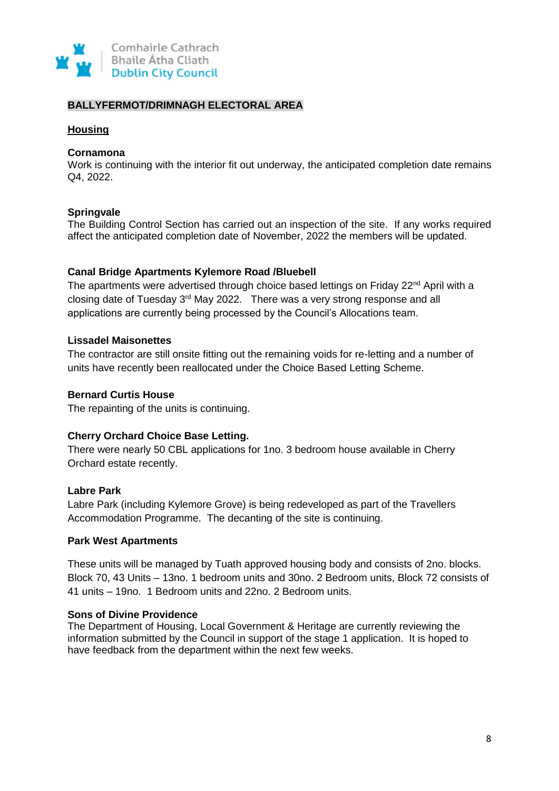

## **BALLYFERMOT/DRIMNAGH ELECTORAL AREA**

### **Housing**

#### **Cornamona**

Work is continuing with the interior fit out underway, the anticipated completion date remains Q4, 2022.

### **Springvale**

The Building Control Section has carried out an inspection of the site. If any works required affect the anticipated completion date of November, 2022 the members will be updated.

### **Canal Bridge Apartments Kylemore Road /Bluebell**

The apartments were advertised through choice based lettings on Friday 22<sup>nd</sup> April with a closing date of Tuesday 3<sup>rd</sup> May 2022. There was a very strong response and all applications are currently being processed by the Council's Allocations team.

### **Lissadel Maisonettes**

The contractor are still onsite fitting out the remaining voids for re-letting and a number of units have recently been reallocated under the Choice Based Letting Scheme.

#### **Bernard Curtis House**

The repainting of the units is continuing.

## **Cherry Orchard Choice Base Letting.**

There were nearly 50 CBL applications for 1no. 3 bedroom house available in Cherry Orchard estate recently.

#### **Labre Park**

Labre Park (including Kylemore Grove) is being redeveloped as part of the Travellers Accommodation Programme. The decanting of the site is continuing.

#### **Park West Apartments**

These units will be managed by Tuath approved housing body and consists of 2no. blocks. Block 70, 43 Units – 13no. 1 bedroom units and 30no. 2 Bedroom units, Block 72 consists of 41 units – 19no. 1 Bedroom units and 22no. 2 Bedroom units.

#### **Sons of Divine Providence**

The Department of Housing, Local Government & Heritage are currently reviewing the information submitted by the Council in support of the stage 1 application. It is hoped to have feedback from the department within the next few weeks.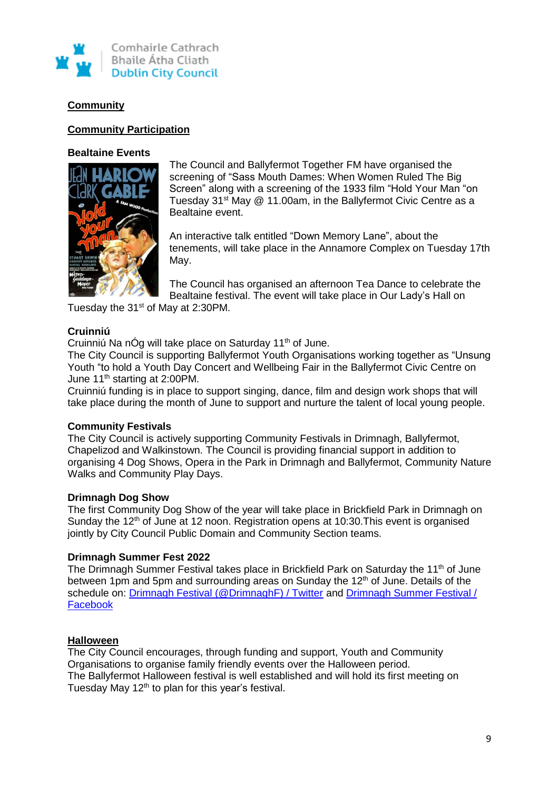

# **Community**

### **Community Participation**

#### **Bealtaine Events**



The Council and Ballyfermot Together FM have organised the screening of "Sass Mouth Dames: When Women Ruled The Big Screen" along with a screening of the 1933 film "Hold Your Man "on Tuesday 31<sup>st</sup> May @ 11.00am, in the Ballyfermot Civic Centre as a Bealtaine event.

An interactive talk entitled "Down Memory Lane", about the tenements, will take place in the Annamore Complex on Tuesday 17th May.

The Council has organised an afternoon Tea Dance to celebrate the Bealtaine festival. The event will take place in Our Lady's Hall on

Tuesday the 31<sup>st</sup> of May at 2:30PM.

## **Cruinniú**

Cruinniú Na nÓg will take place on Saturday 11<sup>th</sup> of June.

The City Council is supporting Ballyfermot Youth Organisations working together as "Unsung Youth "to hold a Youth Day Concert and Wellbeing Fair in the Ballyfermot Civic Centre on June 11<sup>th</sup> starting at 2:00PM.

Cruinniú funding is in place to support singing, dance, film and design work shops that will take place during the month of June to support and nurture the talent of local young people.

## **Community Festivals**

The City Council is actively supporting Community Festivals in Drimnagh, Ballyfermot, Chapelizod and Walkinstown. The Council is providing financial support in addition to organising 4 Dog Shows, Opera in the Park in Drimnagh and Ballyfermot, Community Nature Walks and Community Play Days.

## **Drimnagh Dog Show**

The first Community Dog Show of the year will take place in Brickfield Park in Drimnagh on Sunday the 12<sup>th</sup> of June at 12 noon. Registration opens at 10:30. This event is organised jointly by City Council Public Domain and Community Section teams.

#### **Drimnagh Summer Fest 2022**

The Drimnagh Summer Festival takes place in Brickfield Park on Saturday the 11<sup>th</sup> of June between 1pm and 5pm and surrounding areas on Sunday the 12<sup>th</sup> of June. Details of the schedule on: [Drimnagh Festival \(@DrimnaghF\) / Twitter](https://twitter.com/drimnaghf?lang=en) and [Drimnagh Summer Festival /](https://www.facebook.com/pg/DrimnaghF/posts/?ref=page_internal)  [Facebook](https://www.facebook.com/pg/DrimnaghF/posts/?ref=page_internal)

## **Halloween**

The City Council encourages, through funding and support, Youth and Community Organisations to organise family friendly events over the Halloween period. The Ballyfermot Halloween festival is well established and will hold its first meeting on Tuesday May 12<sup>th</sup> to plan for this year's festival.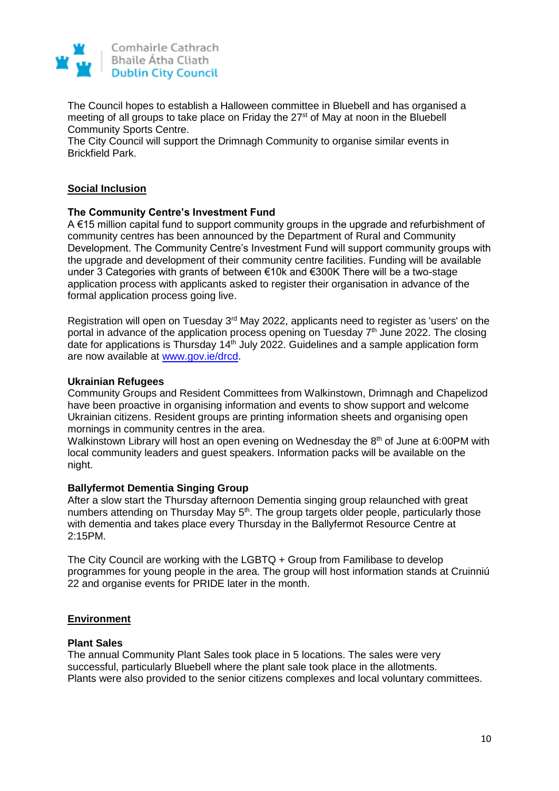

The Council hopes to establish a Halloween committee in Bluebell and has organised a meeting of all groups to take place on Friday the 27<sup>st</sup> of May at noon in the Bluebell Community Sports Centre.

The City Council will support the Drimnagh Community to organise similar events in Brickfield Park.

## **Social Inclusion**

### **The Community Centre's Investment Fund**

A €15 million capital fund to support community groups in the upgrade and refurbishment of community centres has been announced by the Department of Rural and Community Development. The Community Centre's Investment Fund will support community groups with the upgrade and development of their community centre facilities. Funding will be available under 3 Categories with grants of between €10k and €300K There will be a two-stage application process with applicants asked to register their organisation in advance of the formal application process going live.

Registration will open on Tuesday 3rd May 2022, applicants need to register as 'users' on the portal in advance of the application process opening on Tuesday 7<sup>th</sup> June 2022. The closing date for applications is Thursday  $14<sup>th</sup>$  July 2022. Guidelines and a sample application form are now available at [www.gov.ie/drcd.](https://eur05.safelinks.protection.outlook.com/?url=https%3A%2F%2Fscanner.topsec.com%2F%3Fd%3D1962%26t%3Dfc3757bd9497787ec79d7222d42d9e8deae22049%26u%3Dwww.gov.ie%252Fdrcd%26r%3Dshow&data=05%7C01%7C%7C955ec51f4dee4a761fc608da291d9df8%7Ca67ed33a855a46fab5da3cd84e384a96%7C0%7C0%7C637867504428181077%7CUnknown%7CTWFpbGZsb3d8eyJWIjoiMC4wLjAwMDAiLCJQIjoiV2luMzIiLCJBTiI6Ik1haWwiLCJXVCI6Mn0%3D%7C3000%7C%7C%7C&sdata=3GvlH%2BxPe9aGJk7Rsqg2OtUcI%2BWZpWTADhXoa1CQ6Pg%3D&reserved=0)

#### **Ukrainian Refugees**

Community Groups and Resident Committees from Walkinstown, Drimnagh and Chapelizod have been proactive in organising information and events to show support and welcome Ukrainian citizens. Resident groups are printing information sheets and organising open mornings in community centres in the area.

Walkinstown Library will host an open evening on Wednesday the 8<sup>th</sup> of June at 6:00PM with local community leaders and guest speakers. Information packs will be available on the night.

## **Ballyfermot Dementia Singing Group**

After a slow start the Thursday afternoon Dementia singing group relaunched with great numbers attending on Thursday May 5<sup>th</sup>. The group targets older people, particularly those with dementia and takes place every Thursday in the Ballyfermot Resource Centre at 2:15PM.

The City Council are working with the LGBTQ + Group from Familibase to develop programmes for young people in the area. The group will host information stands at Cruinniú 22 and organise events for PRIDE later in the month.

## **Environment**

#### **Plant Sales**

The annual Community Plant Sales took place in 5 locations. The sales were very successful, particularly Bluebell where the plant sale took place in the allotments. Plants were also provided to the senior citizens complexes and local voluntary committees.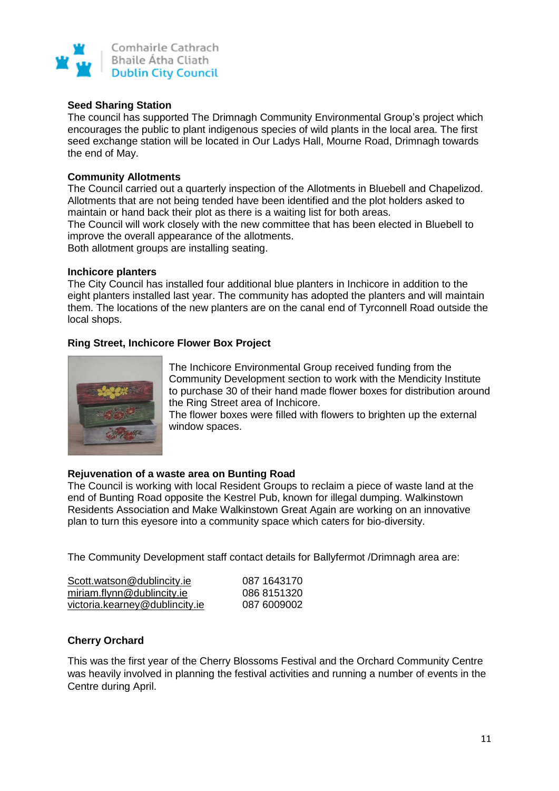

### **Seed Sharing Station**

The council has supported The Drimnagh Community Environmental Group's project which encourages the public to plant indigenous species of wild plants in the local area. The first seed exchange station will be located in Our Ladys Hall, Mourne Road, Drimnagh towards the end of May.

### **Community Allotments**

The Council carried out a quarterly inspection of the Allotments in Bluebell and Chapelizod. Allotments that are not being tended have been identified and the plot holders asked to maintain or hand back their plot as there is a waiting list for both areas.

The Council will work closely with the new committee that has been elected in Bluebell to improve the overall appearance of the allotments.

Both allotment groups are installing seating.

#### **Inchicore planters**

The City Council has installed four additional blue planters in Inchicore in addition to the eight planters installed last year. The community has adopted the planters and will maintain them. The locations of the new planters are on the canal end of Tyrconnell Road outside the local shops.

## **Ring Street, Inchicore Flower Box Project**



The Inchicore Environmental Group received funding from the Community Development section to work with the Mendicity Institute to purchase 30 of their hand made flower boxes for distribution around the Ring Street area of Inchicore.

The flower boxes were filled with flowers to brighten up the external window spaces.

#### **Rejuvenation of a waste area on Bunting Road**

The Council is working with local Resident Groups to reclaim a piece of waste land at the end of Bunting Road opposite the Kestrel Pub, known for illegal dumping. Walkinstown Residents Association and Make Walkinstown Great Again are working on an innovative plan to turn this eyesore into a community space which caters for bio-diversity.

The Community Development staff contact details for Ballyfermot /Drimnagh area are:

| Scott.watson@dublincity.ie     | 087 1643170 |
|--------------------------------|-------------|
| miriam.flynn@dublincity.ie     | 086 8151320 |
| victoria.kearney@dublincity.ie | 087 6009002 |

#### **Cherry Orchard**

This was the first year of the Cherry Blossoms Festival and the Orchard Community Centre was heavily involved in planning the festival activities and running a number of events in the Centre during April.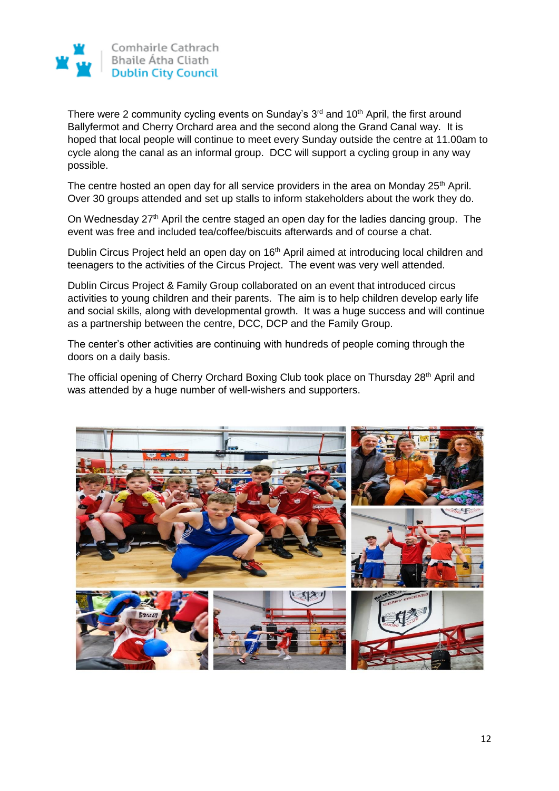

There were 2 community cycling events on Sunday's  $3<sup>rd</sup>$  and  $10<sup>th</sup>$  April, the first around Ballyfermot and Cherry Orchard area and the second along the Grand Canal way. It is hoped that local people will continue to meet every Sunday outside the centre at 11.00am to cycle along the canal as an informal group. DCC will support a cycling group in any way possible.

The centre hosted an open day for all service providers in the area on Monday 25<sup>th</sup> April. Over 30 groups attended and set up stalls to inform stakeholders about the work they do.

On Wednesday 27<sup>th</sup> April the centre staged an open day for the ladies dancing group. The event was free and included tea/coffee/biscuits afterwards and of course a chat.

Dublin Circus Project held an open day on 16<sup>th</sup> April aimed at introducing local children and teenagers to the activities of the Circus Project. The event was very well attended.

Dublin Circus Project & Family Group collaborated on an event that introduced circus activities to young children and their parents. The aim is to help children develop early life and social skills, along with developmental growth. It was a huge success and will continue as a partnership between the centre, DCC, DCP and the Family Group.

The center's other activities are continuing with hundreds of people coming through the doors on a daily basis.

The official opening of Cherry Orchard Boxing Club took place on Thursday 28<sup>th</sup> April and was attended by a huge number of well-wishers and supporters.